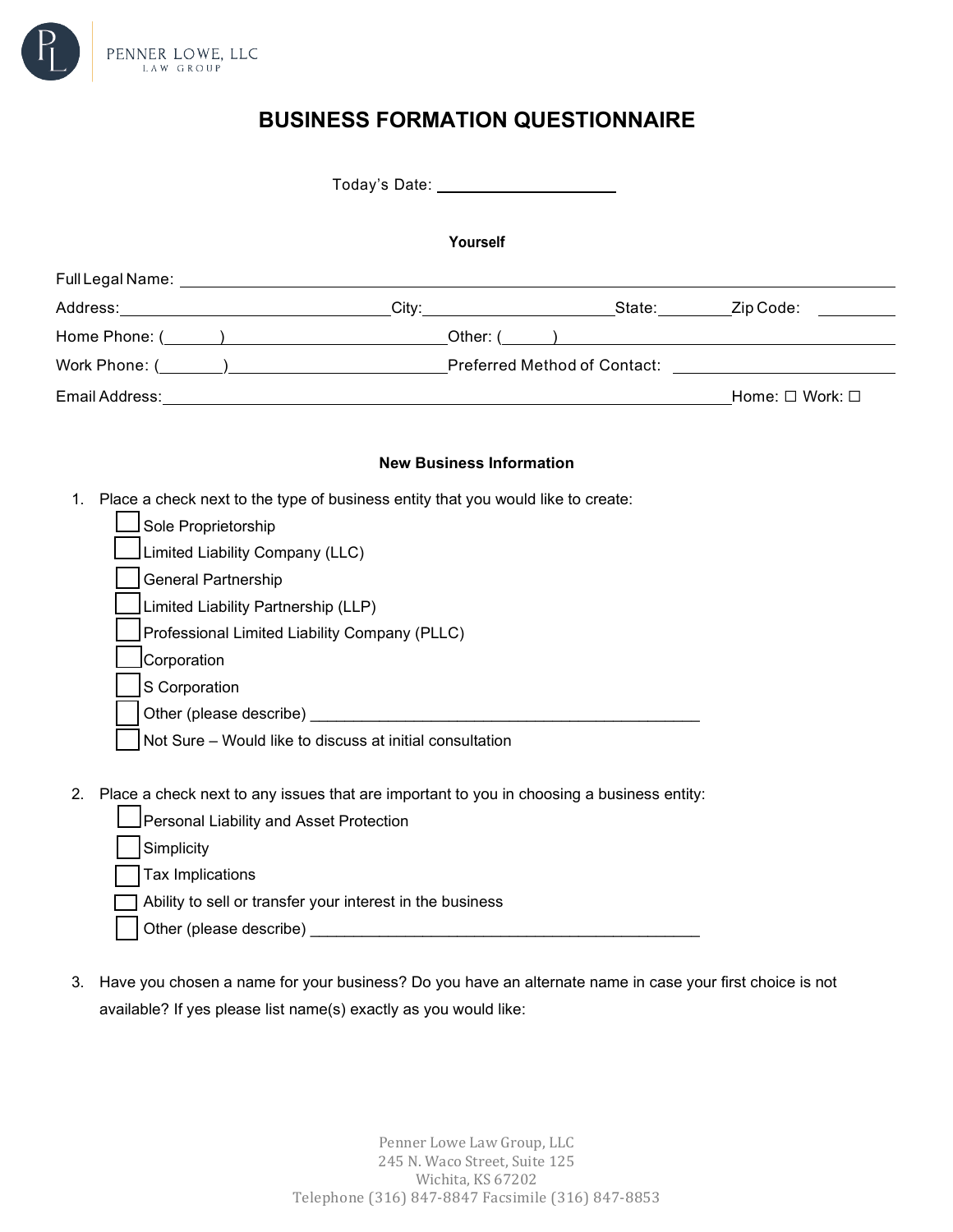

# **BUSINESS FORMATION QUESTIONNAIRE**

|                                         | Today's Date: 1997 1998                                                                   |  |
|-----------------------------------------|-------------------------------------------------------------------------------------------|--|
|                                         | Yourself                                                                                  |  |
|                                         |                                                                                           |  |
|                                         |                                                                                           |  |
|                                         |                                                                                           |  |
|                                         |                                                                                           |  |
|                                         |                                                                                           |  |
|                                         |                                                                                           |  |
|                                         | <b>New Business Information</b>                                                           |  |
| 1.                                      | Place a check next to the type of business entity that you would like to create:          |  |
| Sole Proprietorship                     |                                                                                           |  |
| Limited Liability Company (LLC)         |                                                                                           |  |
| <b>General Partnership</b>              |                                                                                           |  |
| Limited Liability Partnership (LLP)     |                                                                                           |  |
|                                         | Professional Limited Liability Company (PLLC)                                             |  |
| Corporation                             |                                                                                           |  |
| S Corporation                           |                                                                                           |  |
|                                         |                                                                                           |  |
|                                         | Not Sure - Would like to discuss at initial consultation                                  |  |
|                                         |                                                                                           |  |
| 2.                                      | Place a check next to any issues that are important to you in choosing a business entity: |  |
| Personal Liability and Asset Protection |                                                                                           |  |
| Simplicity                              |                                                                                           |  |
| Tax Implications                        |                                                                                           |  |
|                                         | Ability to sell or transfer your interest in the business                                 |  |
| Other (please describe)                 |                                                                                           |  |

3. Have you chosen a name for your business? Do you have an alternate name in case your first choice is not available? If yes please list name(s) exactly as you would like: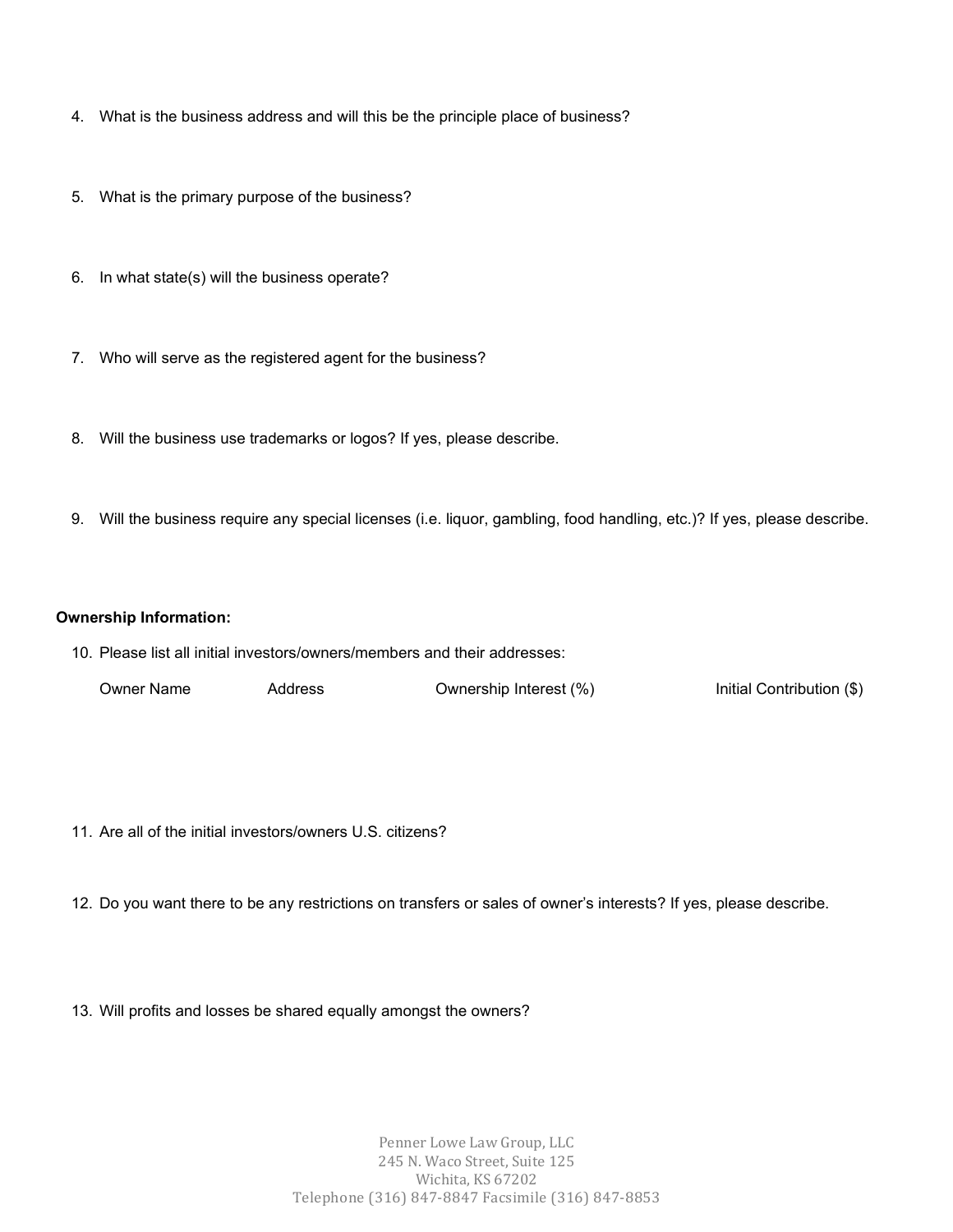- 4. What is the business address and will this be the principle place of business?
- 5. What is the primary purpose of the business?
- 6. In what state(s) will the business operate?
- 7. Who will serve as the registered agent for the business?
- 8. Will the business use trademarks or logos? If yes, please describe.
- 9. Will the business require any special licenses (i.e. liquor, gambling, food handling, etc.)? If yes, please describe.

## **Ownership Information:**

10. Please list all initial investors/owners/members and their addresses:

| Owner Name | Address | Ownership Interest (%) | Initial Contribution (\$) |
|------------|---------|------------------------|---------------------------|
|------------|---------|------------------------|---------------------------|

- 11. Are all of the initial investors/owners U.S. citizens?
- 12. Do you want there to be any restrictions on transfers or sales of owner's interests? If yes, please describe.
- 13. Will profits and losses be shared equally amongst the owners?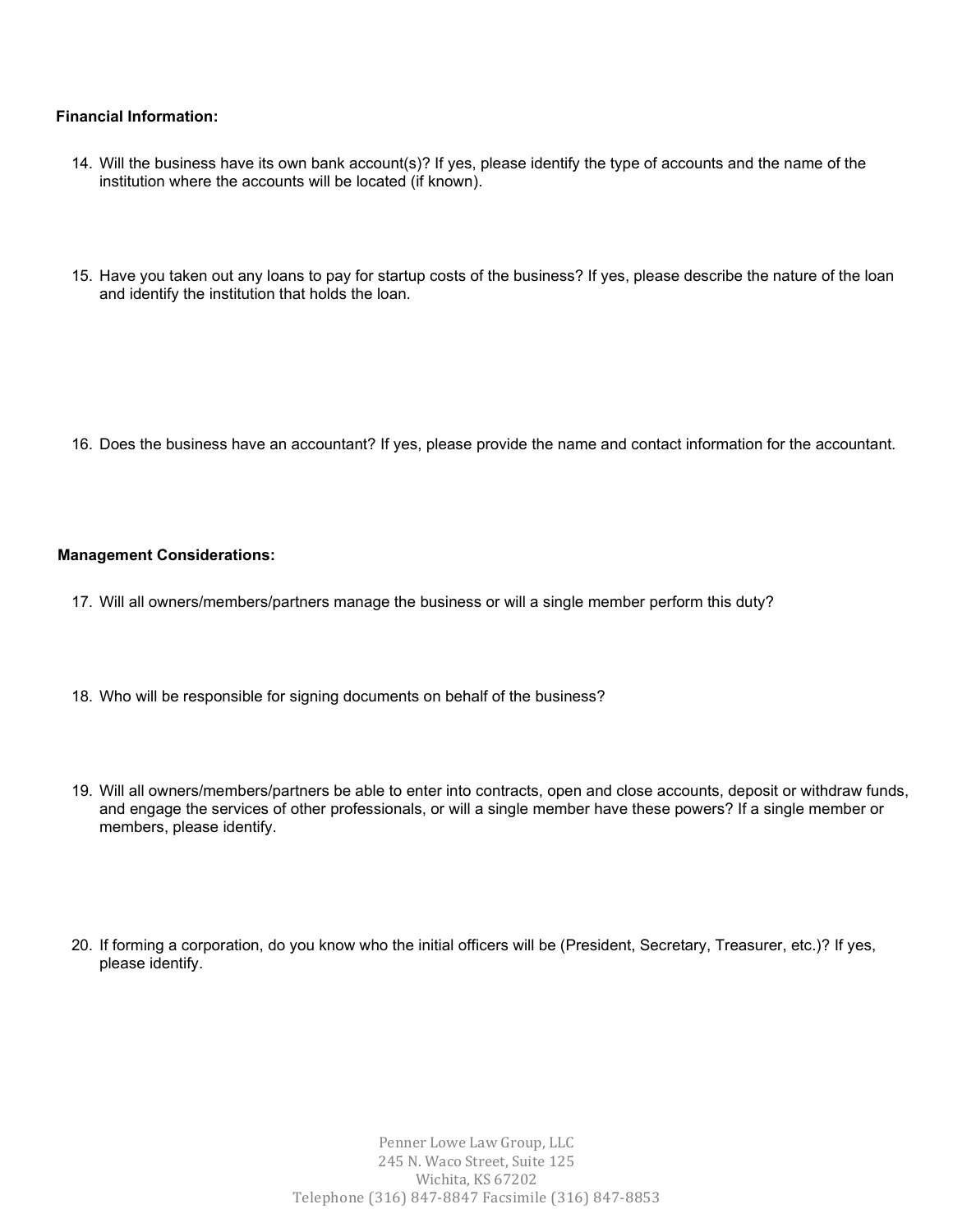#### **Financial Information:**

- 14. Will the business have its own bank account(s)? If yes, please identify the type of accounts and the name of the institution where the accounts will be located (if known).
- 15. Have you taken out any loans to pay for startup costs of the business? If yes, please describe the nature of the loan and identify the institution that holds the loan.

16. Does the business have an accountant? If yes, please provide the name and contact information for the accountant.

#### **Management Considerations:**

- 17. Will all owners/members/partners manage the business or will a single member perform this duty?
- 18. Who will be responsible for signing documents on behalf of the business?
- 19. Will all owners/members/partners be able to enter into contracts, open and close accounts, deposit or withdraw funds, and engage the services of other professionals, or will a single member have these powers? If a single member or members, please identify.
- 20. If forming a corporation, do you know who the initial officers will be (President, Secretary, Treasurer, etc.)? If yes, please identify.

Penner Lowe Law Group, LLC 245 N. Waco Street, Suite 125 Wichita, KS 67202 Telephone (316) 847-8847 Facsimile (316) 847-8853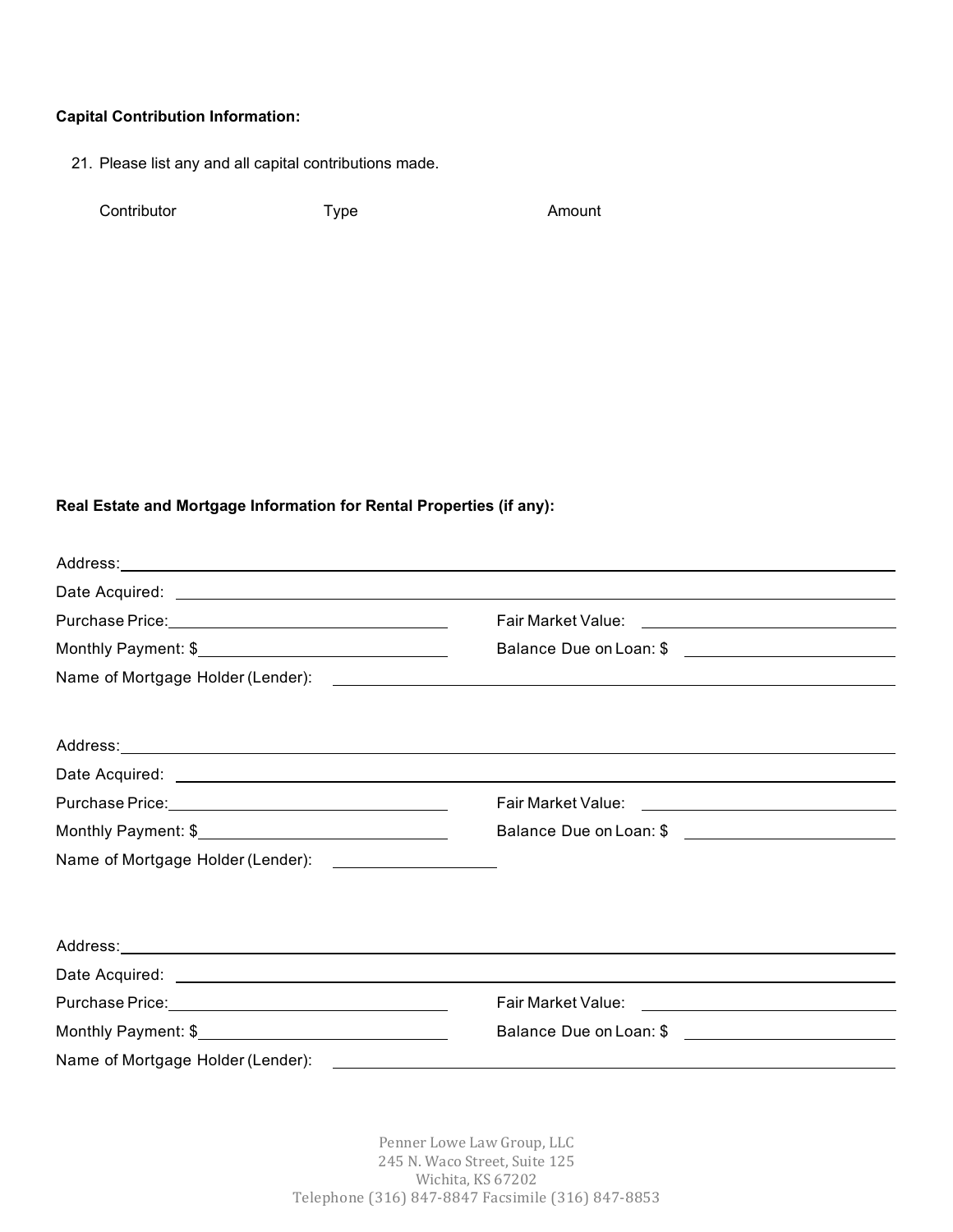## **Capital Contribution Information:**

21. Please list any and all capital contributions made.

Contributor Type Type Amount

# **Real Estate and Mortgage Information for Rental Properties (if any):**

| Purchase Price: National Account of the Contract of the Contract of the Contract of the Contract of the Contract of the Contract of the Contract of the Contract of the Contract of the Contract of the Contract of the Contra | Fair Market Value: <u>_______________________________</u>                                      |
|--------------------------------------------------------------------------------------------------------------------------------------------------------------------------------------------------------------------------------|------------------------------------------------------------------------------------------------|
|                                                                                                                                                                                                                                | Balance Due on Loan: \$                                                                        |
|                                                                                                                                                                                                                                |                                                                                                |
|                                                                                                                                                                                                                                |                                                                                                |
|                                                                                                                                                                                                                                |                                                                                                |
|                                                                                                                                                                                                                                |                                                                                                |
| Purchase Price: 1990 and 200 million and 200 million and 200 million and 200 million and 200 million and 200 mi                                                                                                                |                                                                                                |
|                                                                                                                                                                                                                                |                                                                                                |
| Name of Mortgage Holder (Lender): _____________________                                                                                                                                                                        |                                                                                                |
|                                                                                                                                                                                                                                |                                                                                                |
|                                                                                                                                                                                                                                |                                                                                                |
|                                                                                                                                                                                                                                |                                                                                                |
|                                                                                                                                                                                                                                |                                                                                                |
|                                                                                                                                                                                                                                | <b>Fair Market Value:</b><br><u> 1989 - Andrea Station Books, amerikansk politik (d. 1989)</u> |
|                                                                                                                                                                                                                                | Balance Due on Loan: \$ \etcomparameters and not be realised by Dalance Due on Loan: \$        |
| Name of Mortgage Holder (Lender):                                                                                                                                                                                              |                                                                                                |

Penner Lowe Law Group, LLC 245 N. Waco Street, Suite 125 Wichita, KS 67202 Telephone (316) 847-8847 Facsimile (316) 847-8853